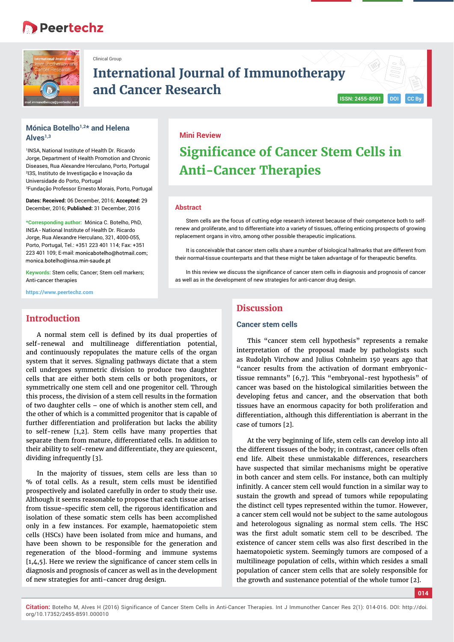## **Peertechz**



Clinical Group

## **International Journal of Immunotherapy and Cancer Research**  $\begin{bmatrix}$  ISSN: 2455-8591 **DOI**

## **Mónica Botelho1,2\* and Helena Alves1,3**

1 INSA, National Institute of Health Dr. Ricardo Jorge, Department of Health Promotion and Chronic Diseases, Rua Alexandre Herculano, Porto, Portugal 2 I3S, Instituto de Investigação e Inovação da Universidade do Porto, Portugal 3 Fundação Professor Ernesto Morais, Porto, Portugal

**Dates: Received:** 06 December, 2016; **Accepted:** 29 December, 2016; **Published:** 31 December, 2016

**\*Corresponding author:** Mónica C. Botelho, PhD, INSA - National Institute of Health Dr. Ricardo Jorge, Rua Alexandre Herculano, 321, 4000-055, Porto, Portugal, Tel.: +351 223 401 114; Fax: +351 223 401 109; E-mail: monicabotelho@hotmail.com; monica.botelho@insa.min-saude.pt

**Keywords:** Stem cells; Cancer; Stem cell markers; Anti-cancer therapies

**https://www.peertechz.com**

## **Introduction**

A normal stem cell is defined by its dual properties of self-renewal and multilineage differentiation potential, and continuously repopulates the mature cells of the organ system that it serves. Signaling pathways dictate that a stem cell undergoes symmetric division to produce two daughter cells that are either both stem cells or both progenitors, or symmetrically one stem cell and one progenitor cell. Through this process, the division of a stem cell results in the formation of two daughter cells – one of which is another stem cell, and the other of which is a committed progenitor that is capable of further differentiation and proliferation but lacks the ability to self-renew [1,2]. Stem cells have many properties that separate them from mature, differentiated cells. In addition to their ability to self-renew and differentiate, they are quiescent, dividing infrequently [3].

In the majority of tissues, stem cells are less than 10 % of total cells. As a result, stem cells must be identified prospectively and isolated carefully in order to study their use. Although it seems reasonable to propose that each tissue arises from tissue-specific stem cell, the rigorous identification and isolation of these somatic stem cells has been accomplished only in a few instances. For example, haematopoietic stem cells (HSCs) have been isolated from mice and humans, and have been shown to be responsible for the generation and regeneration of the blood-forming and immune systems  $[1,4,5]$ . Here we review the significance of cancer stem cells in diagnosis and prognosis of cancer as well as in the development of new strategies for anti-cancer drug design.

## **Mini Review**

# **Significance of Cancer Stem Cells in Anti-Cancer Therapies**

#### **Abstract**

Stem cells are the focus of cutting edge research interest because of their competence both to selfrenew and proliferate, and to differentiate into a variety of tissues, offering enticing prospects of growing replacement organs in vitro, among other possible therapeutic implications.

It is conceivable that cancer stem cells share a number of biological hallmarks that are different from their normal-tissue counterparts and that these might be taken advantage of for therapeutic benefits.

In this review we discuss the significance of cancer stem cells in diagnosis and prognosis of cancer as well as in the development of new strategies for anti-cancer drug design.

## **Discussion**

## **Cancer stem cells**

This "cancer stem cell hypothesis" represents a remake interpretation of the proposal made by pathologists such as Rudolph Virchow and Julius Cohnheim 150 years ago that "cancer results from the activation of dormant embryonictissue remnants" [6,7]. This "embryonal-rest hypothesis" of cancer was based on the histological similarities between the developing fetus and cancer, and the observation that both tissues have an enormous capacity for both proliferation and differentiation, although this differentiation is aberrant in the case of tumors [2].

At the very beginning of life, stem cells can develop into all the different tissues of the body; in contrast, cancer cells often end life. Albeit these unmistakable differences, researchers have suspected that similar mechanisms might be operative in both cancer and stem cells. For instance, both can multiply infinitly. A cancer stem cell would function in a similar way to sustain the growth and spread of tumors while repopulating the distinct cell types represented within the tumor. However, a cancer stem cell would not be subject to the same autologous and heterologous signaling as normal stem cells. The HSC was the first adult somatic stem cell to be described. The existence of cancer stem cells was also first described in the haematopoietic system. Seemingly tumors are composed of a multilineage population of cells, within which resides a small population of cancer stem cells that are solely responsible for the growth and sustenance potential of the whole tumor [2].

**014**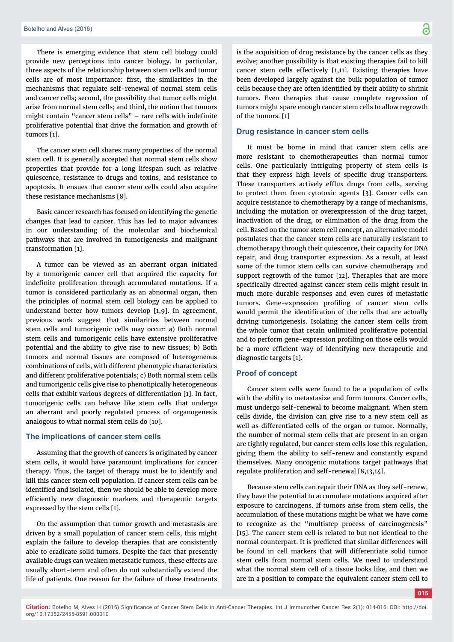There is emerging evidence that stem cell biology could provide new perceptions into cancer biology. In particular, three aspects of the relationship between stem cells and tumor cells are of most importance: first, the similarities in the mechanisms that regulate self-renewal of normal stem cells and cancer cells; second, the possibility that tumor cells might arise from normal stem cells; and third, the notion that tumors might contain "cancer stem cells" – rare cells with indefinite proliferative potential that drive the formation and growth of tumors [1].

The cancer stem cell shares many properties of the normal stem cell. It is generally accepted that normal stem cells show properties that provide for a long lifespan such as relative quiescence, resistance to drugs and toxins, and resistance to apoptosis. It ensues that cancer stem cells could also acquire these resistance mechanisms [8].

Basic cancer research has focused on identifying the genetic changes that lead to cancer. This has led to major advances in our understanding of the molecular and biochemical pathways that are involved in tumorigenesis and malignant transformation [1].

A tumor can be viewed as an aberrant organ initiated by a tumorigenic cancer cell that acquired the capacity for indefinite proliferation through accumulated mutations. If a tumor is considered particularly as an abnormal organ, then the principles of normal stem cell biology can be applied to understand better how tumors develop [1,9]. In agreement, previous work suggest that similarities between normal stem cells and tumorigenic cells may occur: a) Both normal stem cells and tumorigenic cells have extensive proliferative potential and the ability to give rise to new tissues; b) Both tumors and normal tissues are composed of heterogeneous combinations of cells, with different phenotypic characteristics and different proliferative potentials; c) Both normal stem cells and tumorigenic cells give rise to phenotipically heterogeneous cells that exhibit various degrees of differentiation [1]. In fact, tumorigenic cells can behave like stem cells that undergo an aberrant and poorly regulated process of organogenesis analogous to what normal stem cells do [10].

## **The implications of cancer stem cells**

Assuming that the growth of cancers is originated by cancer stem cells, it would have paramount implications for cancer therapy. Thus, the target of therapy must be to identify and kill this cancer stem cell population. If cancer stem cells can be identified and isolated, then we should be able to develop more efficiently new diagnostic markers and therapeutic targets expressed by the stem cells [1].

On the assumption that tumor growth and metastasis are driven by a small population of cancer stem cells, this might explain the failure to develop therapies that are consistently able to eradicate solid tumors. Despite the fact that presently available drugs can weaken metastatic tumors, these effects are usually short-term and often do not substantially extend the life of patients. One reason for the failure of these treatments

is the acquisition of drug resistance by the cancer cells as they evolve; another possibility is that existing therapies fail to kill cancer stem cells effectively [1,11]. Existing therapies have been developed largely against the bulk population of tumor cells because they are often identified by their ability to shrink tumors. Even therapies that cause complete regression of tumors might spare enough cancer stem cells to allow regrowth

#### **Drug resistance in cancer stem cells**

of the tumors. [1]

It must be borne in mind that cancer stem cells are more resistant to chemotherapeutics than normal tumor cells. One particularly intriguing property of stem cells is that they express high levels of specific drug transporters. These transporters actively efflux drugs from cells, serving to protect them from cytotoxic agents [3]. Cancer cells can acquire resistance to chemotherapy by a range of mechanisms, including the mutation or overexpression of the drug target, inactivation of the drug, or elimination of the drug from the cell. Based on the tumor stem cell concept, an alternative model postulates that the cancer stem cells are naturally resistant to chemotherapy through their quiescence, their capacity for DNA repair, and drug transporter expression. As a result, at least some of the tumor stem cells can survive chemotherapy and support regrowth of the tumor [12]. Therapies that are more specifically directed against cancer stem cells might result in much more durable responses and even cures of metastatic tumors. Gene-expression profiling of cancer stem cells would permit the identification of the cells that are actually driving tumorigenesis. Isolating the cancer stem cells from the whole tumor that retain unlimited proliferative potential and to perform gene-expression profiling on those cells would be a more efficient way of identifying new therapeutic and diagnostic targets [1].

### **Proof of concept**

Cancer stem cells were found to be a population of cells with the ability to metastasize and form tumors. Cancer cells, must undergo self-renewal to become malignant. When stem cells divide, the division can give rise to a new stem cell as well as differentiated cells of the organ or tumor. Normally, the number of normal stem cells that are present in an organ are tightly regulated, but cancer stem cells lose this regulation, giving them the ability to self-renew and constantly expand themselves. Many oncogenic mutations target pathways that regulate proliferation and self-renewal [8,13,14].

Because stem cells can repair their DNA as they self-renew, they have the potential to accumulate mutations acquired after exposure to carcinogens. If tumors arise from stem cells, the accumulation of these mutations might be what we have come to recognize as the "multistep process of carcinogenesis" [15]. The cancer stem cell is related to but not identical to the normal counterpart. It is predicted that similar differences will be found in cell markers that will differentiate solid tumor stem cells from normal stem cells. We need to understand what the normal stem cell of a tissue looks like, and then we are in a position to compare the equivalent cancer stem cell to

**015**